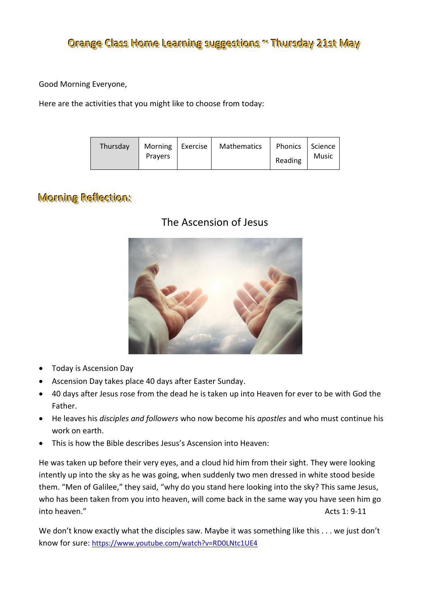## Orange Class Home Learning suggestions ~ Thursday 21st May

Good Morning Everyone,

Here are the activities that you might like to choose from today:

| Thursday<br>Morning   Exercise  <br>Pravers | Mathematics | Phonics   Science<br>Reading | Music |
|---------------------------------------------|-------------|------------------------------|-------|
|---------------------------------------------|-------------|------------------------------|-------|

## Morning Reflection:

### The Ascension of Jesus



- Today is Ascension Day
- Ascension Day takes place 40 days after Easter Sunday.
- 40 days after Jesus rose from the dead he is taken up into Heaven for ever to be with God the Father.
- He leaves his *disciples and followers* who now become his *apostles* and who must continue his work on earth.
- This is how the Bible describes Jesus's Ascension into Heaven:

He was taken up before their very eyes, and a cloud hid him from their sight. They were looking intently up into the sky as he was going, when suddenly two men dressed in white stood beside them. "Men of Galilee," they said, "why do you stand here looking into the sky? This same Jesus, who has been taken from you into heaven, will come back in the same way you have seen him go into heaven." Acts 1: 9-11

We don't know exactly what the disciples saw. Maybe it was something like this . . . we just don't know for sure: <https://www.youtube.com/watch?v=RD0LNtc1UE4>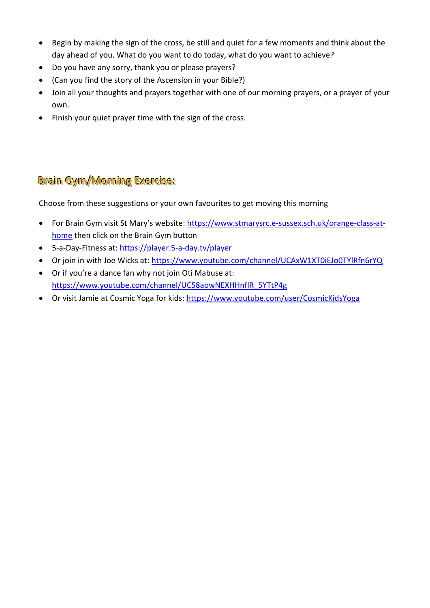- Begin by making the sign of the cross, be still and quiet for a few moments and think about the day ahead of you. What do you want to do today, what do you want to achieve?
- Do you have any sorry, thank you or please prayers?
- (Can you find the story of the Ascension in your Bible?)
- Join all your thoughts and prayers together with one of our morning prayers, or a prayer of your own.
- Finish your quiet prayer time with the sign of the cross.

# Brain Gym/Morning Exercise:

Choose from these suggestions or your own favourites to get moving this morning

- For Brain Gym visit St Mary's website: [https://www.stmarysrc.e-sussex.sch.uk/orange-class-at](https://www.stmarysrc.e-sussex.sch.uk/orange-class-at-home)[home](https://www.stmarysrc.e-sussex.sch.uk/orange-class-at-home) then click on the Brain Gym button
- 5-a-Day-Fitness at[: https://player.5-a-day.tv/player](https://player.5-a-day.tv/player)
- Or join in with Joe Wicks at:<https://www.youtube.com/channel/UCAxW1XT0iEJo0TYlRfn6rYQ>
- Or if you're a dance fan why not join Oti Mabuse at: [https://www.youtube.com/channel/UC58aowNEXHHnflR\\_5YTtP4g](https://www.youtube.com/channel/UC58aowNEXHHnflR_5YTtP4g)
- Or visit Jamie at Cosmic Yoga for kids:<https://www.youtube.com/user/CosmicKidsYoga>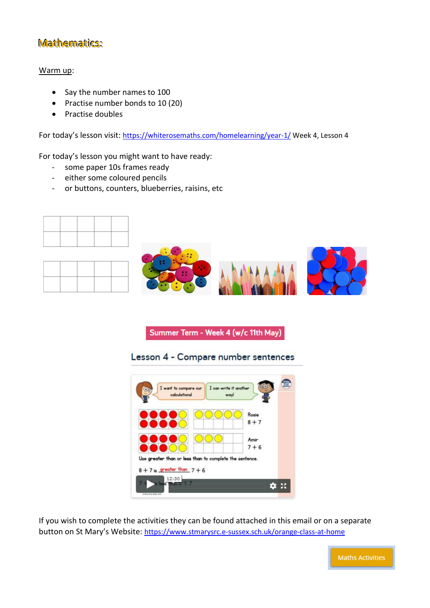## Mathematics:

#### Warm up:

- Say the number names to 100
- Practise number bonds to 10 (20)
- Practise doubles

For today's lesson visit: <https://whiterosemaths.com/homelearning/year-1/> Week 4, Lesson 4

For today's lesson you might want to have ready:

- some paper 10s frames ready
- either some coloured pencils
- or buttons, counters, blueberries, raisins, etc







Summer Term - Week 4 (w/c 11th May)

Lesson 4 - Compare number sentences



If you wish to complete the activities they can be found attached in this email or on a separate button on St Mary's Website: https://www.stmarysrc.e-sussex.sch.uk/orange-class-at-home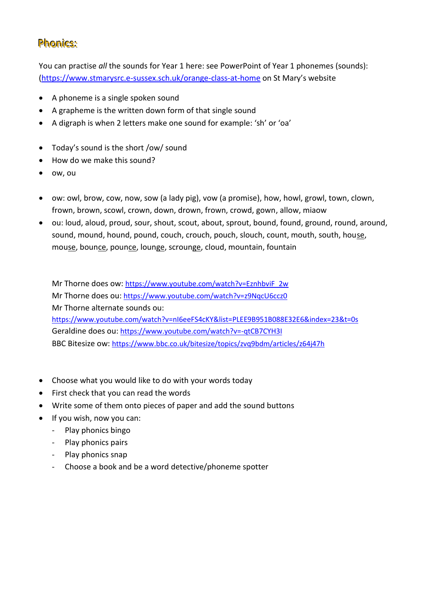### Phonics:

You can practise *all* the sounds for Year 1 here: see PowerPoint of Year 1 phonemes (sounds): [\(https://www.stmarysrc.e-sussex.sch.uk/orange-class-at-home](https://www.stmarysrc.e-sussex.sch.uk/orange-class-at-home) on St Mary's website

- A phoneme is a single spoken sound
- A grapheme is the written down form of that single sound
- A digraph is when 2 letters make one sound for example: 'sh' or 'oa'
- Today's sound is the short /ow/ sound
- How do we make this sound?
- ow, ou
- ow: owl, brow, cow, now, sow (a lady pig), vow (a promise), how, howl, growl, town, clown, frown, brown, scowl, crown, down, drown, frown, crowd, gown, allow, miaow
- ou: loud, aloud, proud, sour, shout, scout, about, sprout, bound, found, ground, round, around, sound, mound, hound, pound, couch, crouch, pouch, slouch, count, mouth, south, house, mouse, bounce, pounce, lounge, scrounge, cloud, mountain, fountain

Mr Thorne does ow: [https://www.youtube.com/watch?v=EznhbviF\\_2w](https://www.youtube.com/watch?v=EznhbviF_2w) Mr Thorne does ou: <https://www.youtube.com/watch?v=z9NqcU6ccz0> Mr Thorne alternate sounds ou: <https://www.youtube.com/watch?v=nI6eeFS4cKY&list=PLEE9B951B088E32E6&index=23&t=0s> Geraldine does ou: <https://www.youtube.com/watch?v=-qtCB7CYH3I> BBC Bitesize ow: <https://www.bbc.co.uk/bitesize/topics/zvq9bdm/articles/z64j47h>

- Choose what you would like to do with your words today
- First check that you can read the words
- Write some of them onto pieces of paper and add the sound buttons
- If you wish, now you can:
	- Play phonics bingo
	- Play phonics pairs
	- Play phonics snap
	- Choose a book and be a word detective/phoneme spotter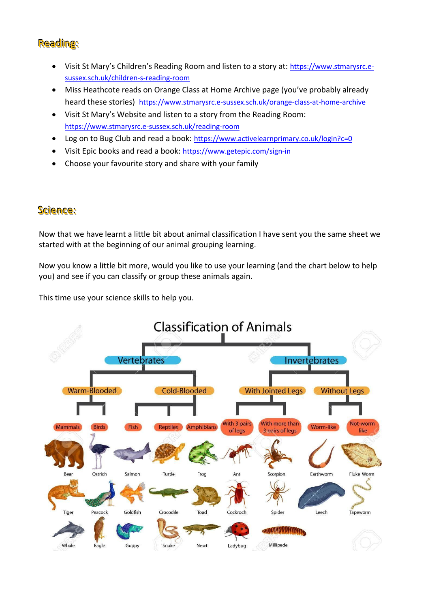### Reading:

- Visit St Mary's Children's Reading Room and listen to a story at: [https://www.stmarysrc.e](https://www.stmarysrc.e-sussex.sch.uk/children-s-reading-room)[sussex.sch.uk/children-s-reading-room](https://www.stmarysrc.e-sussex.sch.uk/children-s-reading-room)
- Miss Heathcote reads on Orange Class at Home Archive page (you've probably already heard these stories) <https://www.stmarysrc.e-sussex.sch.uk/orange-class-at-home-archive>
- Visit St Mary's Website and listen to a story from the Reading Room: <https://www.stmarysrc.e-sussex.sch.uk/reading-room>
- Log on to Bug Club and read a book: <https://www.activelearnprimary.co.uk/login?c=0>
- Visit Epic books and read a book: <https://www.getepic.com/sign-in>
- Choose your favourite story and share with your family

### Science:

Now that we have learnt a little bit about animal classification I have sent you the same sheet we started with at the beginning of our animal grouping learning.

Now you know a little bit more, would you like to use your learning (and the chart below to help you) and see if you can classify or group these animals again.

This time use your science skills to help you.